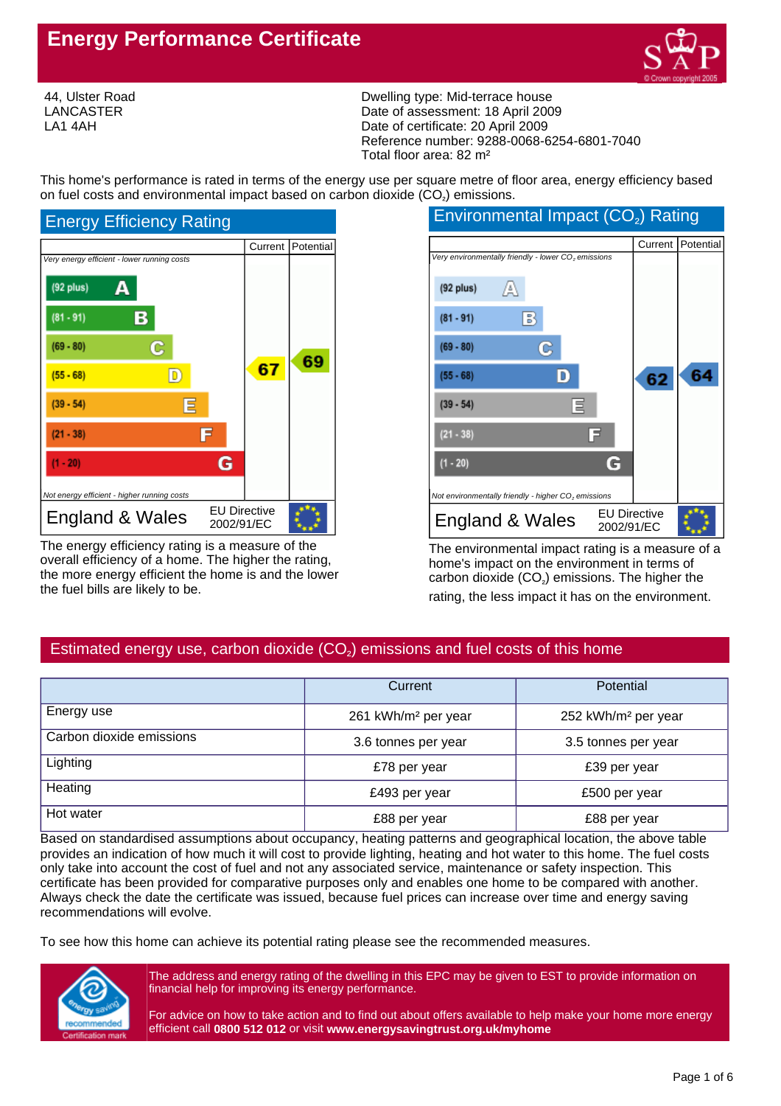## **Energy Performance Certificate**



44, Ulster Road LANCASTER LA1 4AH

Dwelling type: Mid-terrace house Date of assessment: 18 April 2009 Date of certificate: 20 April 2009 Reference number: 9288-0068-6254-6801-7040 Total floor area: 82 m²

This home's performance is rated in terms of the energy use per square metre of floor area, energy efficiency based on fuel costs and environmental impact based on carbon dioxide  $(CO<sub>2</sub>)$  emissions.



The energy efficiency rating is a measure of the overall efficiency of a home. The higher the rating, the more energy efficient the home is and the lower the fuel bills are likely to be.

#### Current Potential Very environmentally friendly - lower CO<sub>2</sub> emissions  $(92$  plus) A  $(81 - 91)$ B  $(69 - 80)$ Ċ. 64  $(55 - 68)$ D 62 冝  $(39 - 54)$  $(21 - 38)$ 冒 G  $(1 - 20)$ Not environmentally friendly - higher CO<sub>2</sub> emissions England & Wales  $E_{2002/91/EC}$ 2002/91/EC

The environmental impact rating is a measure of a home's impact on the environment in terms of  $\mathsf{carbon}$  dioxide  $\mathsf{(CO_2)}$  emissions. The higher the rating, the less impact it has on the environment.

### Estimated energy use, carbon dioxide  $\left({\mathsf{CO}}_{\mathsf{2}}\right)$  emissions and fuel costs of this home

|                          | Current                         | Potential                       |  |
|--------------------------|---------------------------------|---------------------------------|--|
| Energy use               | 261 kWh/m <sup>2</sup> per year | 252 kWh/m <sup>2</sup> per year |  |
| Carbon dioxide emissions | 3.6 tonnes per year             | 3.5 tonnes per year             |  |
| Lighting                 | £78 per year                    | £39 per year                    |  |
| Heating                  | £493 per year                   | £500 per year                   |  |
| Hot water                | £88 per year                    | £88 per year                    |  |

Based on standardised assumptions about occupancy, heating patterns and geographical location, the above table provides an indication of how much it will cost to provide lighting, heating and hot water to this home. The fuel costs only take into account the cost of fuel and not any associated service, maintenance or safety inspection. This certificate has been provided for comparative purposes only and enables one home to be compared with another. Always check the date the certificate was issued, because fuel prices can increase over time and energy saving recommendations will evolve.

To see how this home can achieve its potential rating please see the recommended measures.



The address and energy rating of the dwelling in this EPC may be given to EST to provide information on financial help for improving its energy performance.

For advice on how to take action and to find out about offers available to help make your home more energy efficient call **0800 512 012** or visit **www.energysavingtrust.org.uk/myhome**

# Environmental Impact (CO<sub>2</sub>) Rating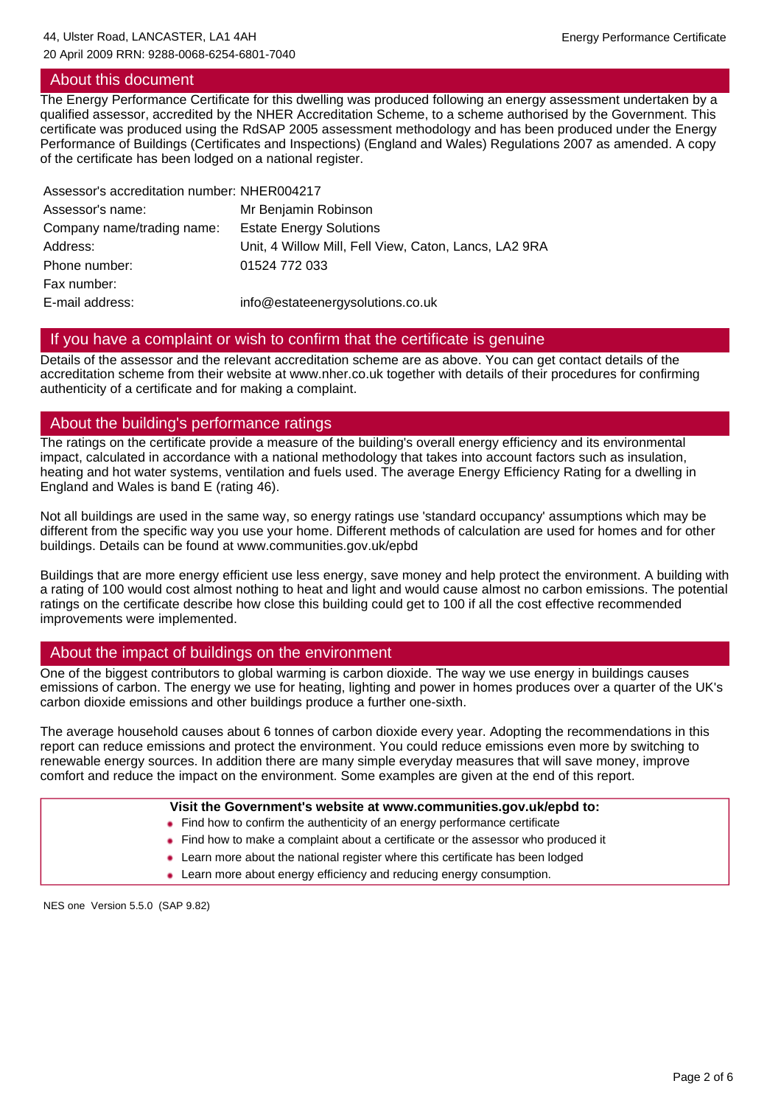#### About this document

The Energy Performance Certificate for this dwelling was produced following an energy assessment undertaken by a qualified assessor, accredited by the NHER Accreditation Scheme, to a scheme authorised by the Government. This certificate was produced using the RdSAP 2005 assessment methodology and has been produced under the Energy Performance of Buildings (Certificates and Inspections) (England and Wales) Regulations 2007 as amended. A copy of the certificate has been lodged on a national register.

| Assessor's accreditation number: NHER004217           |
|-------------------------------------------------------|
| Mr Benjamin Robinson                                  |
| <b>Estate Energy Solutions</b>                        |
| Unit, 4 Willow Mill, Fell View, Caton, Lancs, LA2 9RA |
| 01524 772 033                                         |
|                                                       |
| info@estateenergysolutions.co.uk                      |
|                                                       |

#### If you have a complaint or wish to confirm that the certificate is genuine

Details of the assessor and the relevant accreditation scheme are as above. You can get contact details of the accreditation scheme from their website at www.nher.co.uk together with details of their procedures for confirming authenticity of a certificate and for making a complaint.

#### About the building's performance ratings

The ratings on the certificate provide a measure of the building's overall energy efficiency and its environmental impact, calculated in accordance with a national methodology that takes into account factors such as insulation, heating and hot water systems, ventilation and fuels used. The average Energy Efficiency Rating for a dwelling in England and Wales is band E (rating 46).

Not all buildings are used in the same way, so energy ratings use 'standard occupancy' assumptions which may be different from the specific way you use your home. Different methods of calculation are used for homes and for other buildings. Details can be found at www.communities.gov.uk/epbd

Buildings that are more energy efficient use less energy, save money and help protect the environment. A building with a rating of 100 would cost almost nothing to heat and light and would cause almost no carbon emissions. The potential ratings on the certificate describe how close this building could get to 100 if all the cost effective recommended improvements were implemented.

#### About the impact of buildings on the environment

One of the biggest contributors to global warming is carbon dioxide. The way we use energy in buildings causes emissions of carbon. The energy we use for heating, lighting and power in homes produces over a quarter of the UK's carbon dioxide emissions and other buildings produce a further one-sixth.

The average household causes about 6 tonnes of carbon dioxide every year. Adopting the recommendations in this report can reduce emissions and protect the environment. You could reduce emissions even more by switching to renewable energy sources. In addition there are many simple everyday measures that will save money, improve comfort and reduce the impact on the environment. Some examples are given at the end of this report.

| Visit the Government's website at www.communities.gov.uk/epbd to:                  |  |  |
|------------------------------------------------------------------------------------|--|--|
| • Find how to confirm the authenticity of an energy performance certificate        |  |  |
| • Find how to make a complaint about a certificate or the assessor who produced it |  |  |
| • Learn more about the national register where this certificate has been lodged    |  |  |
| • Learn more about energy efficiency and reducing energy consumption.              |  |  |

NES one Version 5.5.0 (SAP 9.82)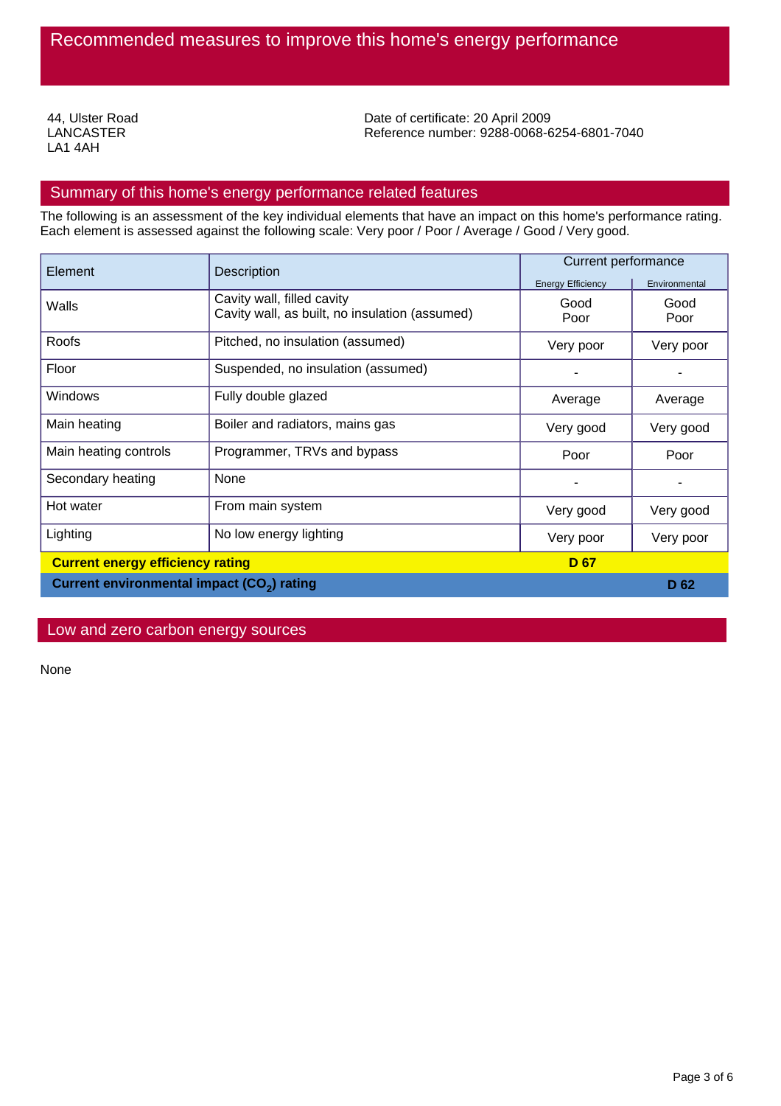44, Ulster Road LANCASTER LA1 4AH

Date of certificate: 20 April 2009 Reference number: 9288-0068-6254-6801-7040

#### Summary of this home's energy performance related features

The following is an assessment of the key individual elements that have an impact on this home's performance rating. Each element is assessed against the following scale: Very poor / Poor / Average / Good / Very good.

| Element                                                | <b>Description</b>                                                           | <b>Current performance</b> |                 |
|--------------------------------------------------------|------------------------------------------------------------------------------|----------------------------|-----------------|
|                                                        |                                                                              | <b>Energy Efficiency</b>   | Environmental   |
| Walls                                                  | Cavity wall, filled cavity<br>Cavity wall, as built, no insulation (assumed) | Good<br>Poor               | Good<br>Poor    |
| Roofs                                                  | Pitched, no insulation (assumed)                                             | Very poor                  | Very poor       |
| Floor                                                  | Suspended, no insulation (assumed)                                           |                            |                 |
| Windows                                                | Fully double glazed                                                          | Average                    | Average         |
| Main heating                                           | Boiler and radiators, mains gas                                              | Very good                  | Very good       |
| Main heating controls                                  | Programmer, TRVs and bypass                                                  | Poor                       | Poor            |
| Secondary heating                                      | None                                                                         |                            |                 |
| Hot water                                              | From main system                                                             | Very good                  | Very good       |
| Lighting                                               | No low energy lighting                                                       | Very poor                  | Very poor       |
| <b>Current energy efficiency rating</b><br><b>D</b> 67 |                                                                              |                            |                 |
| Current environmental impact (CO <sub>2</sub> ) rating |                                                                              |                            | D <sub>62</sub> |

#### Low and zero carbon energy sources

None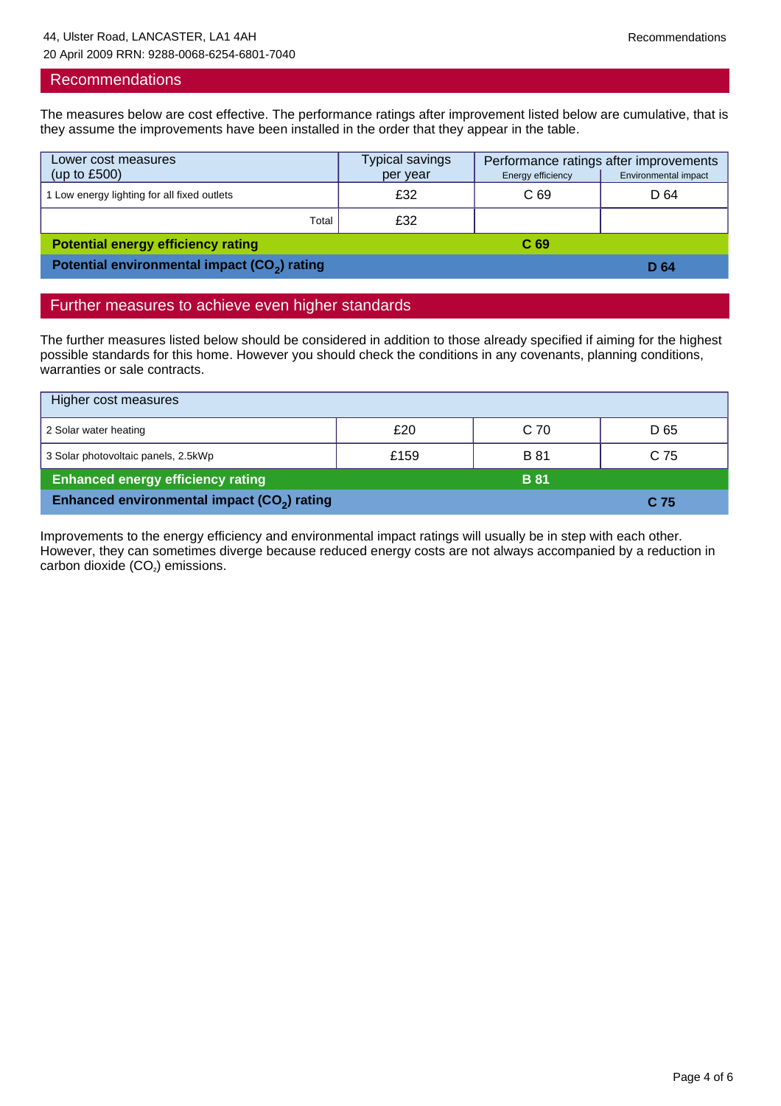#### Recommendations

The measures below are cost effective. The performance ratings after improvement listed below are cumulative, that is they assume the improvements have been installed in the order that they appear in the table.

| Lower cost measures<br>(up to $£500$ )                   | Typical savings<br>per year | Performance ratings after improvements<br>Environmental impact<br>Energy efficiency |      |
|----------------------------------------------------------|-----------------------------|-------------------------------------------------------------------------------------|------|
|                                                          |                             |                                                                                     |      |
| Low energy lighting for all fixed outlets                | £32                         | C <sub>69</sub>                                                                     | D 64 |
| Total                                                    | £32                         |                                                                                     |      |
| <b>Potential energy efficiency rating</b>                |                             | C <sub>69</sub>                                                                     |      |
| Potential environmental impact (CO <sub>2</sub> ) rating |                             | D 64                                                                                |      |

#### Further measures to achieve even higher standards

The further measures listed below should be considered in addition to those already specified if aiming for the highest possible standards for this home. However you should check the conditions in any covenants, planning conditions, warranties or sale contracts.

| Higher cost measures                                    |      |                 |      |  |  |
|---------------------------------------------------------|------|-----------------|------|--|--|
| 2 Solar water heating                                   | £20  | C <sub>70</sub> | D 65 |  |  |
| 3 Solar photovoltaic panels, 2.5kWp                     | £159 | <b>B</b> 81     | C 75 |  |  |
| <b>Enhanced energy efficiency rating</b><br><b>B</b> 81 |      |                 |      |  |  |
| Enhanced environmental impact (CO <sub>2</sub> ) rating |      |                 | C 75 |  |  |

Improvements to the energy efficiency and environmental impact ratings will usually be in step with each other. However, they can sometimes diverge because reduced energy costs are not always accompanied by a reduction in  $carbon$  dioxide  $(CO<sub>2</sub>)$  emissions.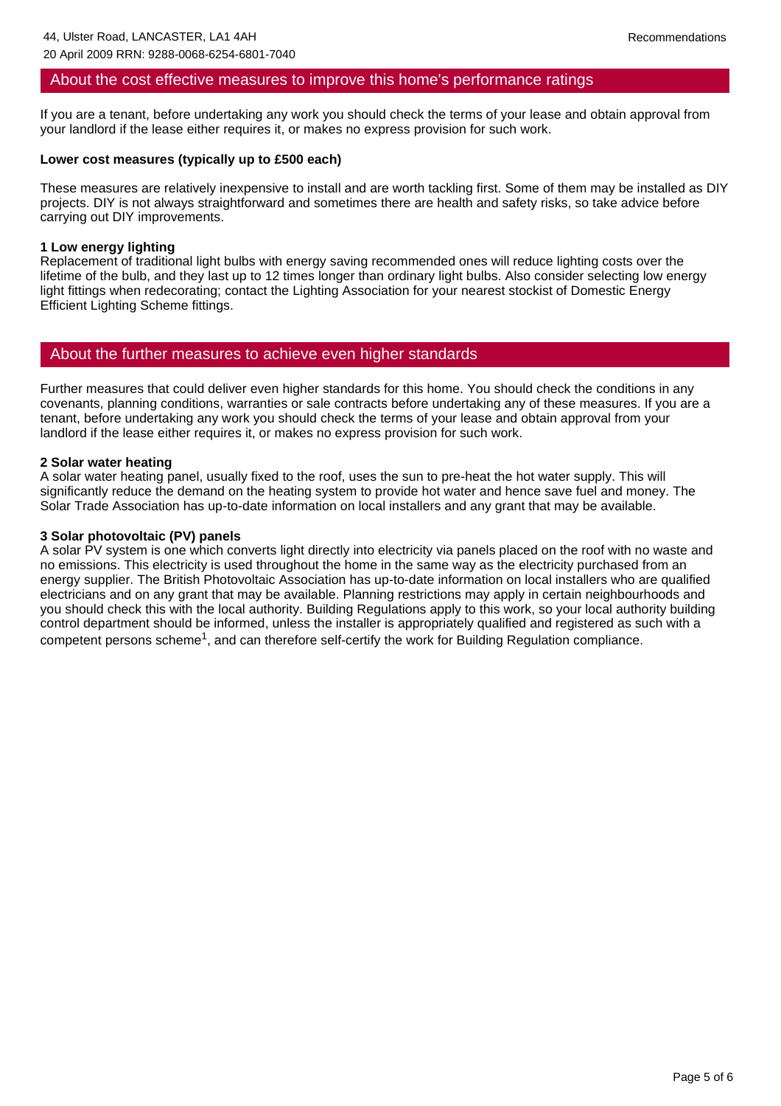#### About the cost effective measures to improve this home's performance ratings

If you are a tenant, before undertaking any work you should check the terms of your lease and obtain approval from your landlord if the lease either requires it, or makes no express provision for such work.

#### **Lower cost measures (typically up to £500 each)**

These measures are relatively inexpensive to install and are worth tackling first. Some of them may be installed as DIY projects. DIY is not always straightforward and sometimes there are health and safety risks, so take advice before carrying out DIY improvements.

#### **1 Low energy lighting**

Replacement of traditional light bulbs with energy saving recommended ones will reduce lighting costs over the lifetime of the bulb, and they last up to 12 times longer than ordinary light bulbs. Also consider selecting low energy light fittings when redecorating; contact the Lighting Association for your nearest stockist of Domestic Energy Efficient Lighting Scheme fittings.

#### About the further measures to achieve even higher standards

Further measures that could deliver even higher standards for this home. You should check the conditions in any covenants, planning conditions, warranties or sale contracts before undertaking any of these measures. If you are a tenant, before undertaking any work you should check the terms of your lease and obtain approval from your landlord if the lease either requires it, or makes no express provision for such work.

#### **2 Solar water heating**

A solar water heating panel, usually fixed to the roof, uses the sun to pre-heat the hot water supply. This will significantly reduce the demand on the heating system to provide hot water and hence save fuel and money. The Solar Trade Association has up-to-date information on local installers and any grant that may be available.

#### **3 Solar photovoltaic (PV) panels**

A solar PV system is one which converts light directly into electricity via panels placed on the roof with no waste and no emissions. This electricity is used throughout the home in the same way as the electricity purchased from an energy supplier. The British Photovoltaic Association has up-to-date information on local installers who are qualified electricians and on any grant that may be available. Planning restrictions may apply in certain neighbourhoods and you should check this with the local authority. Building Regulations apply to this work, so your local authority building control department should be informed, unless the installer is appropriately qualified and registered as such with a competent persons scheme<sup>1</sup>, and can therefore self-certify the work for Building Regulation compliance.